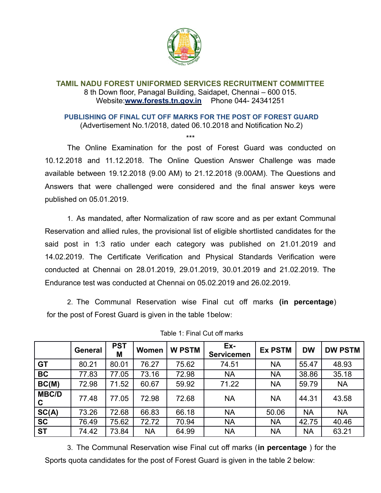

## **TAMIL NADU FOREST UNIFORMED SERVICES RECRUITMENT COMMITTEE** 8 th Down floor, Panagal Building, Saidapet, Chennai – 600 015. Website:**www.forests.tn.gov.in** Phone 044- 24341251

## **PUBLISHING OF FINAL CUT OFF MARKS FOR THE POST OF FOREST GUARD** (Advertisement No.1/2018, dated 06.10.2018 and Notification No.2)

\*\*\*

The Online Examination for the post of Forest Guard was conducted on 10.12.2018 and 11.12.2018. The Online Question Answer Challenge was made available between 19.12.2018 (9.00 AM) to 21.12.2018 (9.00AM). The Questions and Answers that were challenged were considered and the final answer keys were

published on 05.01.2019.

1. As mandated, after Normalization of raw score and as per extant Communal Reservation and allied rules, the provisional list of eligible shortlisted candidates for the said post in 1:3 ratio under each category was published on 21.01.2019 and 14.02.2019. The Certificate Verification and Physical Standards Verification were conducted at Chennai on 28.01.2019, 29.01.2019, 30.01.2019 and 21.02.2019. The Endurance test was conducted at Chennai on 05.02.2019 and 26.02.2019.

2. The Communal Reservation wise Final cut off marks **(in percentage**) for the post of Forest Guard is given in the table 1below:

|                   | <b>General</b> | <b>PST</b><br>Μ | Women     | <b>W PSTM</b> | Ex-<br><b>Servicemen</b> | <b>Ex PSTM</b> | <b>DW</b> | <b>DW PSTM</b> |
|-------------------|----------------|-----------------|-----------|---------------|--------------------------|----------------|-----------|----------------|
| <b>GT</b>         | 80.21          | 80.01           | 76.27     | 75.62         | 74.51                    | <b>NA</b>      | 55.47     | 48.93          |
| <b>BC</b>         | 77.83          | 77.05           | 73.16     | 72.98         | <b>NA</b>                | <b>NA</b>      | 38.86     | 35.18          |
| BC(M)             | 72.98          | 71.52           | 60.67     | 59.92         | 71.22                    | <b>NA</b>      | 59.79     | <b>NA</b>      |
| <b>MBC/D</b><br>C | 77.48          | 77.05           | 72.98     | 72.68         | <b>NA</b>                | <b>NA</b>      | 44.31     | 43.58          |
| SC(A)             | 73.26          | 72.68           | 66.83     | 66.18         | <b>NA</b>                | 50.06          | <b>NA</b> | <b>NA</b>      |
| <b>SC</b>         | 76.49          | 75.62           | 72.72     | 70.94         | <b>NA</b>                | <b>NA</b>      | 42.75     | 40.46          |
| <b>ST</b>         | 74.42          | 73.84           | <b>NA</b> | 64.99         | <b>NA</b>                | <b>NA</b>      | <b>NA</b> | 63.21          |

Table 1: Final Cut off marks

3. The Communal Reservation wise Final cut off marks (**in percentage** ) for the Sports quota candidates for the post of Forest Guard is given in the table 2 below: